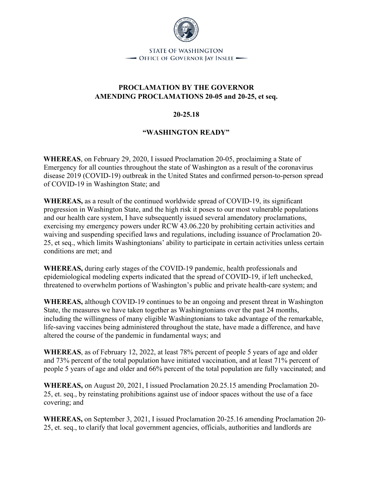

**STATE OF WASHINGTON** - OFFICE OF GOVERNOR JAY INSLEE -

## **PROCLAMATION BY THE GOVERNOR AMENDING PROCLAMATIONS 20-05 and 20-25, et seq.**

## **20-25.18**

## **"WASHINGTON READY"**

**WHEREAS**, on February 29, 2020, I issued Proclamation 20-05, proclaiming a State of Emergency for all counties throughout the state of Washington as a result of the coronavirus disease 2019 (COVID-19) outbreak in the United States and confirmed person-to-person spread of COVID-19 in Washington State; and

**WHEREAS,** as a result of the continued worldwide spread of COVID-19, its significant progression in Washington State, and the high risk it poses to our most vulnerable populations and our health care system, I have subsequently issued several amendatory proclamations, exercising my emergency powers under RCW 43.06.220 by prohibiting certain activities and waiving and suspending specified laws and regulations, including issuance of Proclamation 20- 25, et seq., which limits Washingtonians' ability to participate in certain activities unless certain conditions are met; and

**WHEREAS,** during early stages of the COVID-19 pandemic, health professionals and epidemiological modeling experts indicated that the spread of COVID-19, if left unchecked, threatened to overwhelm portions of Washington's public and private health-care system; and

**WHEREAS,** although COVID-19 continues to be an ongoing and present threat in Washington State, the measures we have taken together as Washingtonians over the past 24 months, including the willingness of many eligible Washingtonians to take advantage of the remarkable, life-saving vaccines being administered throughout the state, have made a difference, and have altered the course of the pandemic in fundamental ways; and

**WHEREAS**, as of February 12, 2022, at least 78% percent of people 5 years of age and older and 73% percent of the total population have initiated vaccination, and at least 71% percent of people 5 years of age and older and 66% percent of the total population are fully vaccinated; and

**WHEREAS,** on August 20, 2021, I issued Proclamation 20.25.15 amending Proclamation 20- 25, et. seq., by reinstating prohibitions against use of indoor spaces without the use of a face covering; and

**WHEREAS,** on September 3, 2021, I issued Proclamation 20-25.16 amending Proclamation 20- 25, et. seq., to clarify that local government agencies, officials, authorities and landlords are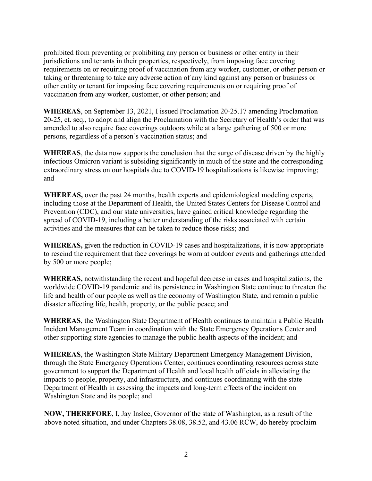prohibited from preventing or prohibiting any person or business or other entity in their jurisdictions and tenants in their properties, respectively, from imposing face covering requirements on or requiring proof of vaccination from any worker, customer, or other person or taking or threatening to take any adverse action of any kind against any person or business or other entity or tenant for imposing face covering requirements on or requiring proof of vaccination from any worker, customer, or other person; and

**WHEREAS**, on September 13, 2021, I issued Proclamation 20-25.17 amending Proclamation 20-25, et. seq., to adopt and align the Proclamation with the Secretary of Health's order that was amended to also require face coverings outdoors while at a large gathering of 500 or more persons, regardless of a person's vaccination status; and

**WHEREAS**, the data now supports the conclusion that the surge of disease driven by the highly infectious Omicron variant is subsiding significantly in much of the state and the corresponding extraordinary stress on our hospitals due to COVID-19 hospitalizations is likewise improving; and

**WHEREAS,** over the past 24 months, health experts and epidemiological modeling experts, including those at the Department of Health, the United States Centers for Disease Control and Prevention (CDC), and our state universities, have gained critical knowledge regarding the spread of COVID-19, including a better understanding of the risks associated with certain activities and the measures that can be taken to reduce those risks; and

**WHEREAS,** given the reduction in COVID-19 cases and hospitalizations, it is now appropriate to rescind the requirement that face coverings be worn at outdoor events and gatherings attended by 500 or more people;

**WHEREAS,** notwithstanding the recent and hopeful decrease in cases and hospitalizations, the worldwide COVID-19 pandemic and its persistence in Washington State continue to threaten the life and health of our people as well as the economy of Washington State, and remain a public disaster affecting life, health, property, or the public peace; and

**WHEREAS**, the Washington State Department of Health continues to maintain a Public Health Incident Management Team in coordination with the State Emergency Operations Center and other supporting state agencies to manage the public health aspects of the incident; and

**WHEREAS**, the Washington State Military Department Emergency Management Division, through the State Emergency Operations Center, continues coordinating resources across state government to support the Department of Health and local health officials in alleviating the impacts to people, property, and infrastructure, and continues coordinating with the state Department of Health in assessing the impacts and long-term effects of the incident on Washington State and its people; and

**NOW, THEREFORE**, I, Jay Inslee, Governor of the state of Washington, as a result of the above noted situation, and under Chapters 38.08, 38.52, and 43.06 RCW, do hereby proclaim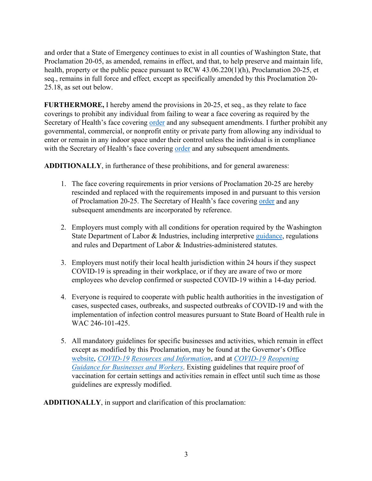and order that a State of Emergency continues to exist in all counties of Washington State, that Proclamation 20-05, as amended, remains in effect, and that, to help preserve and maintain life, health, property or the public peace pursuant to RCW 43.06.220(1)(h), Proclamation 20-25, et seq., remains in full force and effect*,* except as specifically amended by this Proclamation 20- 25.18, as set out below.

**FURTHERMORE,** I hereby amend the provisions in 20-25, et seq., as they relate to face coverings to prohibit any individual from failing to wear a face covering as required by the Secretary of Health's face covering [order](https://www.doh.wa.gov/Portals/1/Documents/1600/coronavirus/Secretary_of_Health_Order_20-03_Statewide_Face_Coverings.pdf) [a](https://www.doh.wa.gov/Portals/1/Documents/1600/coronavirus/Secretary_of_Health_Order_20-03_Statewide_Face_Coverings.pdfhttps:/www.doh.wa.gov/Portals/1/Documents/1600/coronavirus/Secretary_of_Health_Order_20-03_Statewide_Face_Coverings.pdf)nd any subsequent amendments. I further prohibit any governmental, commercial, or nonprofit entity or private party from allowing any individual to enter or remain in any indoor space under their control unless the individual is in compliance with the Secretary of Health's face covering [order](https://www.doh.wa.gov/Portals/1/Documents/1600/coronavirus/Secretary_of_Health_Order_20-03_Statewide_Face_Coverings.pdf) [a](https://www.doh.wa.gov/Portals/1/Documents/1600/coronavirus/Secretary_of_Health_Order_20-03_Statewide_Face_Coverings.pdfhttps:/www.doh.wa.gov/Portals/1/Documents/1600/coronavirus/Secretary_of_Health_Order_20-03_Statewide_Face_Coverings.pdf)nd any subsequent amendments.

**ADDITIONALLY**, in furtherance of these prohibitions, and for general awareness:

- 1. The face covering requirements in prior versions of Proclamation 20-25 are hereby rescinded and replaced with the requirements imposed in and pursuant to this version of Proclamation 20-25. The Secretary of Health's face covering [order](https://www.doh.wa.gov/Portals/1/Documents/1600/coronavirus/Secretary_of_Health_Order_20-03_Statewide_Face_Coverings.pdf) [a](https://www.doh.wa.gov/Portals/1/Documents/1600/coronavirus/Secretary_of_Health_Order_20-03_Statewide_Face_Coverings.pdfhttps:/www.doh.wa.gov/Portals/1/Documents/1600/coronavirus/Secretary_of_Health_Order_20-03_Statewide_Face_Coverings.pdf)nd any subsequent amendments are incorporated by reference.
- 2. Employers must comply with all conditions for operation required by the Washington State Department of Labor & Industries, including interpretive [guidance,](https://www.lni.wa.gov/agency/outreach/novel-coronavirus-outbreak-covid-19-resources) regulations and rules [an](https://www.lni.wa.gov/safety-health/safety-rules/chapter-pdfs/WAC296-800.pdf)d Department of Labor & Industries-administered statutes.
- 3. Employers must notify their local health jurisdiction within 24 hours if they suspect COVID-19 is spreading in their workplace, or if they are aware of two or more employees who develop confirmed or suspected COVID-19 within a 14-day period.
- 4. Everyone is required to cooperate with public health authorities in the investigation of cases, suspected cases, outbreaks, and suspected outbreaks of COVID-19 and with the implementation of infection control measures pursuant to State Board of Health rule in WAC 246-101-425.
- 5. All mandatory guidelines for specific businesses and activities, which remain in effect except as modified by this Proclamation, may be found at the Governor's Office [websit](https://www.governor.wa.gov/)[e,](https://www.governor.wa.gov/issues/issues/covid-19-resources) *[COVID-19](https://www.governor.wa.gov/issues/issues/covid-19-resources) [Resources and Information](https://www.governor.wa.gov/issues/issues/covid-19-resources)*[,](https://www.governor.wa.gov/issues/issues/covid-19-resources) [an](https://www.governor.wa.gov/issues/issues/covid-19-resources)d at *[COVID-19](https://www.governor.wa.gov/issues/issues/covid-19-resources/covid-19-reopening-guidance-businesses-and-workers) [Reopening](https://www.governor.wa.gov/issues/issues/covid-19-resources/covid-19-reopening-guidance-businesses-and-workers)  [Guidance for Businesses and Workers](https://www.governor.wa.gov/issues/issues/covid-19-resources/covid-19-reopening-guidance-businesses-and-workers)*[.](https://www.governor.wa.gov/issues/issues/covid-19-resources/covid-19-reopening-guidance-businesses-and-workers) [E](https://www.governor.wa.gov/issues/issues/covid-19-resources/covid-19-reopening-guidance-businesses-and-workers)xisting guidelines that require proof of vaccination for certain settings and activities remain in effect until such time as those guidelines are expressly modified.

**ADDITIONALLY**, in support and clarification of this proclamation: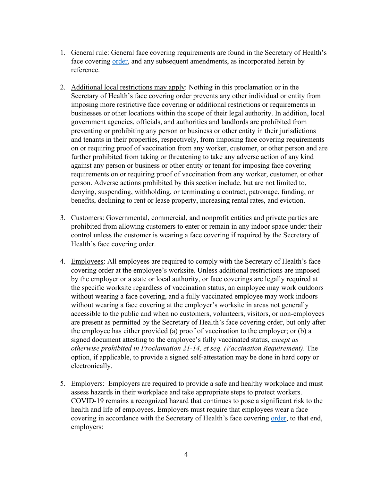- 1. General rule: General face covering requirements are found in the Secretary of Health's face covering [order](https://www.doh.wa.gov/Portals/1/Documents/1600/coronavirus/Secretary_of_Health_Order_20-03_Statewide_Face_Coverings.pdf)[,](https://www.doh.wa.gov/Portals/1/Documents/1600/coronavirus/Secretary_of_Health_Order_20-03_Statewide_Face_Coverings.pdfhttps:/www.doh.wa.gov/Portals/1/Documents/1600/coronavirus/Secretary_of_Health_Order_20-03_Statewide_Face_Coverings.pdf) and any subsequent amendments, as incorporated herein by reference.
- 2. Additional local restrictions may apply: Nothing in this proclamation or in the Secretary of Health's face covering order prevents any other individual or entity from imposing more restrictive face covering or additional restrictions or requirements in businesses or other locations within the scope of their legal authority. In addition, local government agencies, officials, and authorities and landlords are prohibited from preventing or prohibiting any person or business or other entity in their jurisdictions and tenants in their properties, respectively, from imposing face covering requirements on or requiring proof of vaccination from any worker, customer, or other person and are further prohibited from taking or threatening to take any adverse action of any kind against any person or business or other entity or tenant for imposing face covering requirements on or requiring proof of vaccination from any worker, customer, or other person. Adverse actions prohibited by this section include, but are not limited to, denying, suspending, withholding, or terminating a contract, patronage, funding, or benefits, declining to rent or lease property, increasing rental rates, and eviction.
- 3. Customers: Governmental, commercial, and nonprofit entities and private parties are prohibited from allowing customers to enter or remain in any indoor space under their control unless the customer is wearing a face covering if required by the Secretary of Health's face covering order.
- 4. Employees: All employees are required to comply with the Secretary of Health's face covering order at the employee's worksite. Unless additional restrictions are imposed by the employer or a state or local authority, or face coverings are legally required at the specific worksite regardless of vaccination status, an employee may work outdoors without wearing a face covering, and a fully vaccinated employee may work indoors without wearing a face covering at the employer's worksite in areas not generally accessible to the public and when no customers, volunteers, visitors, or non-employees are present as permitted by the Secretary of Health's face covering order, but only after the employee has either provided (a) proof of vaccination to the employer; or (b) a signed document attesting to the employee's fully vaccinated status, *except as otherwise prohibited in Proclamation 21-14, et seq. (Vaccination Requirement)*. The option, if applicable, to provide a signed self-attestation may be done in hard copy or electronically.
- 5. Employers: Employers are required to provide a safe and healthy workplace and must assess hazards in their workplace and take appropriate steps to protect workers. COVID-19 remains a recognized hazard that continues to pose a significant risk to the health and life of employees. Employers must require that employees wear a face covering in accordance with the Secretary of Health's face covering [order,](https://www.doh.wa.gov/Portals/1/Documents/1600/coronavirus/Secretary_of_Health_Order_20-03_Statewide_Face_Coverings.pdf) to that end, employers: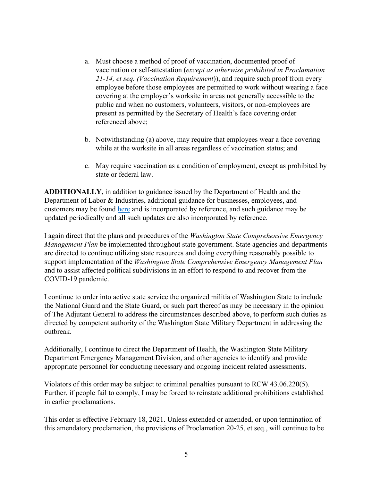- a. Must choose a method of proof of vaccination, documented proof of vaccination or self-attestation (*except as otherwise prohibited in Proclamation 21-14, et seq. (Vaccination Requirement*)), and require such proof from every employee before those employees are permitted to work without wearing a face covering at the employer's worksite in areas not generally accessible to the public and when no customers, volunteers, visitors, or non-employees are present as permitted by the Secretary of Health's face covering order referenced above;
- b. Notwithstanding (a) above, may require that employees wear a face covering while at the worksite in all areas regardless of vaccination status; and
- c. May require vaccination as a condition of employment, except as prohibited by state or federal law.

**ADDITIONALLY,** in addition to guidance issued by the Department of Health and the Department of Labor & Industries, additional guidance for businesses, employees, and customers may be found [here](https://www.governor.wa.gov/issues/issues/covid-19-resources/covid-19-reopening-guidance) [a](https://www.governor.wa.gov/issues/issues/covid-19-resources/covid-19-reopening-guidance)nd is incorporated by reference, and such guidance may be updated periodically and all such updates are also incorporated by reference.

I again direct that the plans and procedures of the *Washington State Comprehensive Emergency Management Plan* be implemented throughout state government. State agencies and departments are directed to continue utilizing state resources and doing everything reasonably possible to support implementation of the *Washington State Comprehensive Emergency Management Plan*  and to assist affected political subdivisions in an effort to respond to and recover from the COVID-19 pandemic.

I continue to order into active state service the organized militia of Washington State to include the National Guard and the State Guard, or such part thereof as may be necessary in the opinion of The Adjutant General to address the circumstances described above, to perform such duties as directed by competent authority of the Washington State Military Department in addressing the outbreak.

Additionally, I continue to direct the Department of Health, the Washington State Military Department Emergency Management Division, and other agencies to identify and provide appropriate personnel for conducting necessary and ongoing incident related assessments.

Violators of this order may be subject to criminal penalties pursuant to RCW 43.06.220(5). Further, if people fail to comply, I may be forced to reinstate additional prohibitions established in earlier proclamations.

This order is effective February 18, 2021. Unless extended or amended, or upon termination of this amendatory proclamation, the provisions of Proclamation 20-25, et seq., will continue to be